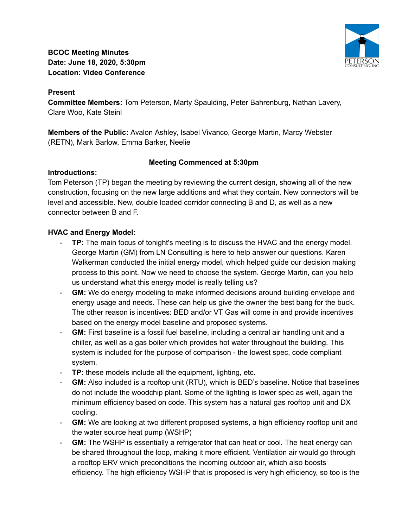**BCOC Meeting Minutes Date: June 18, 2020, 5:30pm Location: Video Conference**



**Committee Members:** Tom Peterson, Marty Spaulding, Peter Bahrenburg, Nathan Lavery, Clare Woo, Kate Steinl

**Members of the Public:** Avalon Ashley, Isabel Vivanco, George Martin, Marcy Webster (RETN), Mark Barlow, Emma Barker, Neelie

### **Meeting Commenced at 5:30pm**

### **Introductions:**

Tom Peterson (TP) began the meeting by reviewing the current design, showing all of the new construction, focusing on the new large additions and what they contain. New connectors will be level and accessible. New, double loaded corridor connecting B and D, as well as a new connector between B and F.

# **HVAC and Energy Model:**

- **TP:** The main focus of tonight's meeting is to discuss the HVAC and the energy model. George Martin (GM) from LN Consulting is here to help answer our questions. Karen Walkerman conducted the initial energy model, which helped guide our decision making process to this point. Now we need to choose the system. George Martin, can you help us understand what this energy model is really telling us?
- **GM:** We do energy modeling to make informed decisions around building envelope and energy usage and needs. These can help us give the owner the best bang for the buck. The other reason is incentives: BED and/or VT Gas will come in and provide incentives based on the energy model baseline and proposed systems.
- **GM:** First baseline is a fossil fuel baseline, including a central air handling unit and a chiller, as well as a gas boiler which provides hot water throughout the building. This system is included for the purpose of comparison - the lowest spec, code compliant system.
- **TP:** these models include all the equipment, lighting, etc.
- **GM:** Also included is a rooftop unit (RTU), which is BED's baseline. Notice that baselines do not include the woodchip plant. Some of the lighting is lower spec as well, again the minimum efficiency based on code. This system has a natural gas rooftop unit and DX cooling.
- **GM:** We are looking at two different proposed systems, a high efficiency rooftop unit and the water source heat pump (WSHP)
- **GM:** The WSHP is essentially a refrigerator that can heat or cool. The heat energy can be shared throughout the loop, making it more efficient. Ventilation air would go through a rooftop ERV which preconditions the incoming outdoor air, which also boosts efficiency. The high efficiency WSHP that is proposed is very high efficiency, so too is the

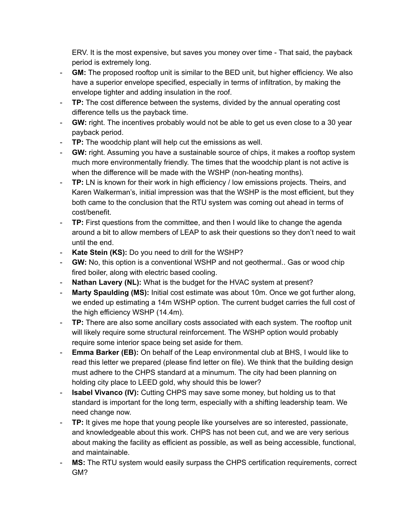ERV. It is the most expensive, but saves you money over time - That said, the payback period is extremely long.

- **GM:** The proposed rooftop unit is similar to the BED unit, but higher efficiency. We also have a superior envelope specified, especially in terms of infiltration, by making the envelope tighter and adding insulation in the roof.
- **TP:** The cost difference between the systems, divided by the annual operating cost difference tells us the payback time.
- **GW:** right. The incentives probably would not be able to get us even close to a 30 year payback period.
- **TP:** The woodchip plant will help cut the emissions as well.
- **GW:** right. Assuming you have a sustainable source of chips, it makes a rooftop system much more environmentally friendly. The times that the woodchip plant is not active is when the difference will be made with the WSHP (non-heating months).
- **TP:** LN is known for their work in high efficiency / low emissions projects. Theirs, and Karen Walkerman's, initial impression was that the WSHP is the most efficient, but they both came to the conclusion that the RTU system was coming out ahead in terms of cost/benefit.
- **TP:** First questions from the committee, and then I would like to change the agenda around a bit to allow members of LEAP to ask their questions so they don't need to wait until the end.
- **Kate Stein (KS):** Do you need to drill for the WSHP?
- **GW:** No, this option is a conventional WSHP and not geothermal.. Gas or wood chip fired boiler, along with electric based cooling.
- **Nathan Lavery (NL):** What is the budget for the HVAC system at present?
- **Marty Spaulding (MS):** Initial cost estimate was about 10m. Once we got further along, we ended up estimating a 14m WSHP option. The current budget carries the full cost of the high efficiency WSHP (14.4m).
- **TP:** There are also some ancillary costs associated with each system. The rooftop unit will likely require some structural reinforcement. The WSHP option would probably require some interior space being set aside for them.
- **Emma Barker (EB):** On behalf of the Leap environmental club at BHS, I would like to read this letter we prepared (please find letter on file). We think that the building design must adhere to the CHPS standard at a minumum. The city had been planning on holding city place to LEED gold, why should this be lower?
- **Isabel Vivanco (IV):** Cutting CHPS may save some money, but holding us to that standard is important for the long term, especially with a shifting leadership team. We need change now.
- **TP:** It gives me hope that young people like yourselves are so interested, passionate, and knowledgeable about this work. CHPS has not been cut, and we are very serious about making the facility as efficient as possible, as well as being accessible, functional, and maintainable.
- **MS:** The RTU system would easily surpass the CHPS certification requirements, correct GM?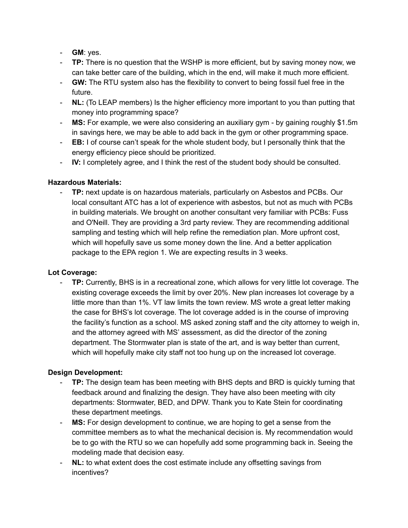- **GM**: yes.
- **TP:** There is no question that the WSHP is more efficient, but by saving money now, we can take better care of the building, which in the end, will make it much more efficient.
- **GW:** The RTU system also has the flexibility to convert to being fossil fuel free in the future.
- **NL:** (To LEAP members) Is the higher efficiency more important to you than putting that money into programming space?
- **MS:** For example, we were also considering an auxiliary gym by gaining roughly \$1.5m in savings here, we may be able to add back in the gym or other programming space.
- **EB:** I of course can't speak for the whole student body, but I personally think that the energy efficiency piece should be prioritized.
- **IV:** I completely agree, and I think the rest of the student body should be consulted.

### **Hazardous Materials:**

**TP:** next update is on hazardous materials, particularly on Asbestos and PCBs. Our local consultant ATC has a lot of experience with asbestos, but not as much with PCBs in building materials. We brought on another consultant very familiar with PCBs: Fuss and O'Neill. They are providing a 3rd party review. They are recommending additional sampling and testing which will help refine the remediation plan. More upfront cost, which will hopefully save us some money down the line. And a better application package to the EPA region 1. We are expecting results in 3 weeks.

# **Lot Coverage:**

**TP:** Currently, BHS is in a recreational zone, which allows for very little lot coverage. The existing coverage exceeds the limit by over 20%. New plan increases lot coverage by a little more than than 1%. VT law limits the town review. MS wrote a great letter making the case for BHS's lot coverage. The lot coverage added is in the course of improving the facility's function as a school. MS asked zoning staff and the city attorney to weigh in, and the attorney agreed with MS' assessment, as did the director of the zoning department. The Stormwater plan is state of the art, and is way better than current, which will hopefully make city staff not too hung up on the increased lot coverage.

# **Design Development:**

- **TP:** The design team has been meeting with BHS depts and BRD is quickly turning that feedback around and finalizing the design. They have also been meeting with city departments: Stormwater, BED, and DPW. Thank you to Kate Stein for coordinating these department meetings.
- **MS:** For design development to continue, we are hoping to get a sense from the committee members as to what the mechanical decision is. My recommendation would be to go with the RTU so we can hopefully add some programming back in. Seeing the modeling made that decision easy.
- **NL:** to what extent does the cost estimate include any offsetting savings from incentives?